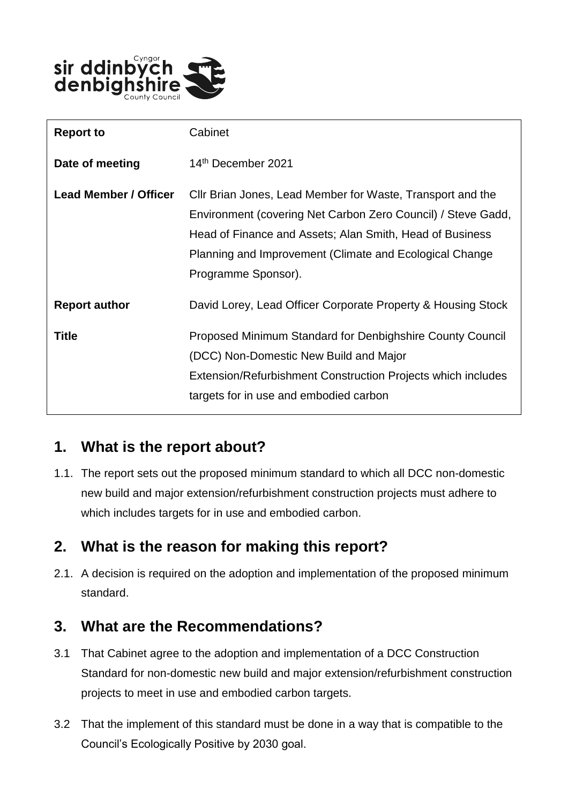

| <b>Report to</b>             | Cabinet                                                                                                                                                                                                                                                                  |
|------------------------------|--------------------------------------------------------------------------------------------------------------------------------------------------------------------------------------------------------------------------------------------------------------------------|
| Date of meeting              | 14th December 2021                                                                                                                                                                                                                                                       |
| <b>Lead Member / Officer</b> | Cllr Brian Jones, Lead Member for Waste, Transport and the<br>Environment (covering Net Carbon Zero Council) / Steve Gadd,<br>Head of Finance and Assets; Alan Smith, Head of Business<br>Planning and Improvement (Climate and Ecological Change<br>Programme Sponsor). |
| <b>Report author</b>         | David Lorey, Lead Officer Corporate Property & Housing Stock                                                                                                                                                                                                             |
| <b>Title</b>                 | Proposed Minimum Standard for Denbighshire County Council<br>(DCC) Non-Domestic New Build and Major<br>Extension/Refurbishment Construction Projects which includes<br>targets for in use and embodied carbon                                                            |

# **1. What is the report about?**

1.1. The report sets out the proposed minimum standard to which all DCC non-domestic new build and major extension/refurbishment construction projects must adhere to which includes targets for in use and embodied carbon.

# **2. What is the reason for making this report?**

2.1. A decision is required on the adoption and implementation of the proposed minimum standard.

# **3. What are the Recommendations?**

- 3.1 That Cabinet agree to the adoption and implementation of a DCC Construction Standard for non-domestic new build and major extension/refurbishment construction projects to meet in use and embodied carbon targets.
- 3.2 That the implement of this standard must be done in a way that is compatible to the Council's Ecologically Positive by 2030 goal.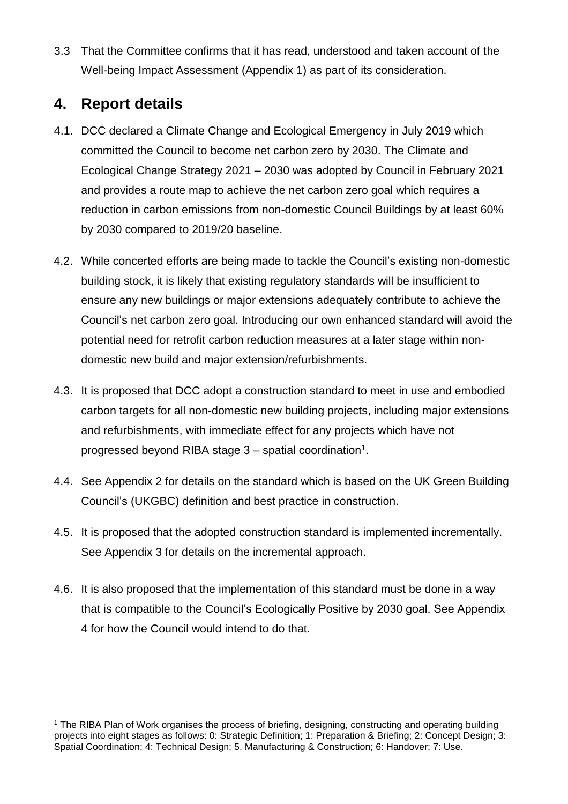3.3 That the Committee confirms that it has read, understood and taken account of the Well-being Impact Assessment (Appendix 1) as part of its consideration.

# **4. Report details**

 $\overline{a}$ 

- 4.1. DCC declared a Climate Change and Ecological Emergency in July 2019 which committed the Council to become net carbon zero by 2030. The Climate and Ecological Change Strategy 2021 – 2030 was adopted by Council in February 2021 and provides a route map to achieve the net carbon zero goal which requires a reduction in carbon emissions from non-domestic Council Buildings by at least 60% by 2030 compared to 2019/20 baseline.
- 4.2. While concerted efforts are being made to tackle the Council's existing non-domestic building stock, it is likely that existing regulatory standards will be insufficient to ensure any new buildings or major extensions adequately contribute to achieve the Council's net carbon zero goal. Introducing our own enhanced standard will avoid the potential need for retrofit carbon reduction measures at a later stage within nondomestic new build and major extension/refurbishments.
- 4.3. It is proposed that DCC adopt a construction standard to meet in use and embodied carbon targets for all non-domestic new building projects, including major extensions and refurbishments, with immediate effect for any projects which have not progressed beyond RIBA stage  $3$  – spatial coordination<sup>1</sup>.
- 4.4. See Appendix 2 for details on the standard which is based on the UK Green Building Council's (UKGBC) definition and best practice in construction.
- 4.5. It is proposed that the adopted construction standard is implemented incrementally. See Appendix 3 for details on the incremental approach.
- 4.6. It is also proposed that the implementation of this standard must be done in a way that is compatible to the Council's Ecologically Positive by 2030 goal. See Appendix 4 for how the Council would intend to do that.

<sup>&</sup>lt;sup>1</sup> The RIBA Plan of Work organises the process of briefing, designing, constructing and operating building projects into eight stages as follows: 0: Strategic Definition; 1: Preparation & Briefing; 2: Concept Design; 3: Spatial Coordination; 4: Technical Design; 5. Manufacturing & Construction; 6: Handover; 7: Use.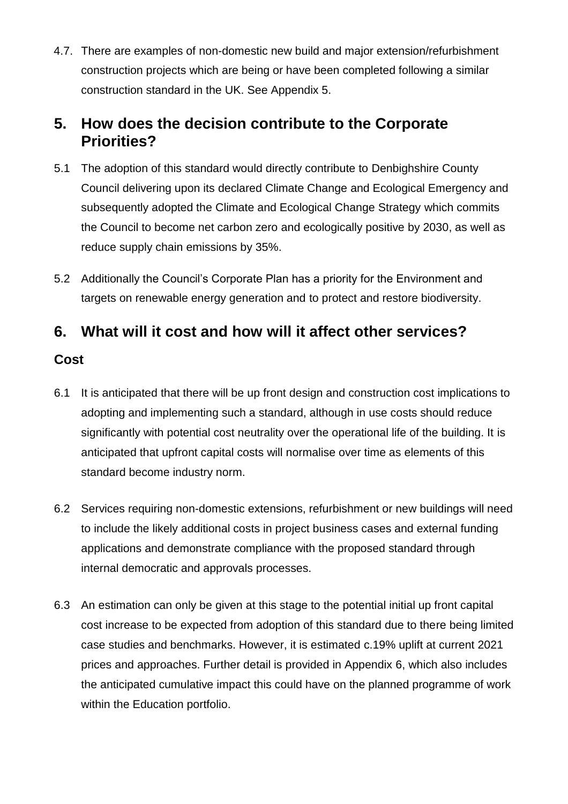4.7. There are examples of non-domestic new build and major extension/refurbishment construction projects which are being or have been completed following a similar construction standard in the UK. See Appendix 5.

### **5. How does the decision contribute to the Corporate Priorities?**

- 5.1 The adoption of this standard would directly contribute to Denbighshire County Council delivering upon its declared Climate Change and Ecological Emergency and subsequently adopted the Climate and Ecological Change Strategy which commits the Council to become net carbon zero and ecologically positive by 2030, as well as reduce supply chain emissions by 35%.
- 5.2 Additionally the Council's Corporate Plan has a priority for the Environment and targets on renewable energy generation and to protect and restore biodiversity.

# **6. What will it cost and how will it affect other services?**

#### **Cost**

- 6.1 It is anticipated that there will be up front design and construction cost implications to adopting and implementing such a standard, although in use costs should reduce significantly with potential cost neutrality over the operational life of the building. It is anticipated that upfront capital costs will normalise over time as elements of this standard become industry norm.
- 6.2 Services requiring non-domestic extensions, refurbishment or new buildings will need to include the likely additional costs in project business cases and external funding applications and demonstrate compliance with the proposed standard through internal democratic and approvals processes.
- 6.3 An estimation can only be given at this stage to the potential initial up front capital cost increase to be expected from adoption of this standard due to there being limited case studies and benchmarks. However, it is estimated c.19% uplift at current 2021 prices and approaches. Further detail is provided in Appendix 6, which also includes the anticipated cumulative impact this could have on the planned programme of work within the Education portfolio.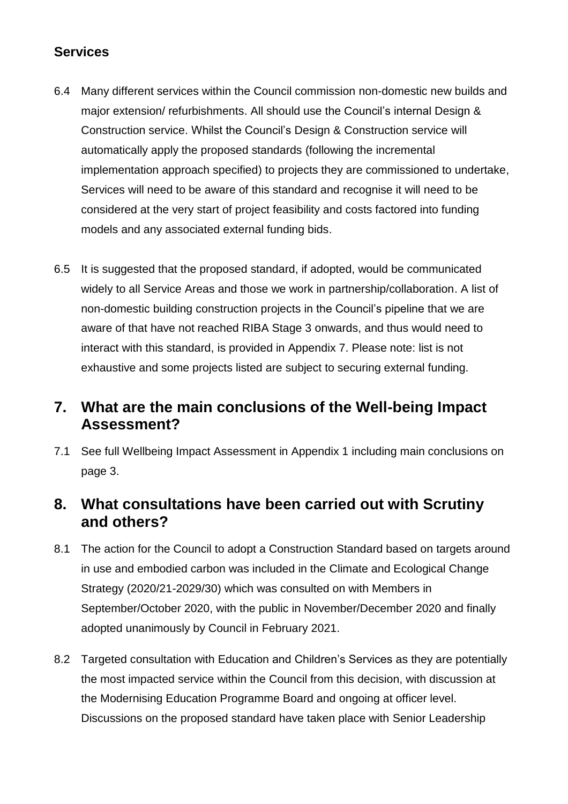#### **Services**

- 6.4 Many different services within the Council commission non-domestic new builds and major extension/ refurbishments. All should use the Council's internal Design & Construction service. Whilst the Council's Design & Construction service will automatically apply the proposed standards (following the incremental implementation approach specified) to projects they are commissioned to undertake, Services will need to be aware of this standard and recognise it will need to be considered at the very start of project feasibility and costs factored into funding models and any associated external funding bids.
- 6.5 It is suggested that the proposed standard, if adopted, would be communicated widely to all Service Areas and those we work in partnership/collaboration. A list of non-domestic building construction projects in the Council's pipeline that we are aware of that have not reached RIBA Stage 3 onwards, and thus would need to interact with this standard, is provided in Appendix 7. Please note: list is not exhaustive and some projects listed are subject to securing external funding.

### **7. What are the main conclusions of the Well-being Impact Assessment?**

7.1 See full Wellbeing Impact Assessment in Appendix 1 including main conclusions on page 3.

### **8. What consultations have been carried out with Scrutiny and others?**

- 8.1 The action for the Council to adopt a Construction Standard based on targets around in use and embodied carbon was included in the Climate and Ecological Change Strategy (2020/21-2029/30) which was consulted on with Members in September/October 2020, with the public in November/December 2020 and finally adopted unanimously by Council in February 2021.
- 8.2 Targeted consultation with Education and Children's Services as they are potentially the most impacted service within the Council from this decision, with discussion at the Modernising Education Programme Board and ongoing at officer level. Discussions on the proposed standard have taken place with Senior Leadership